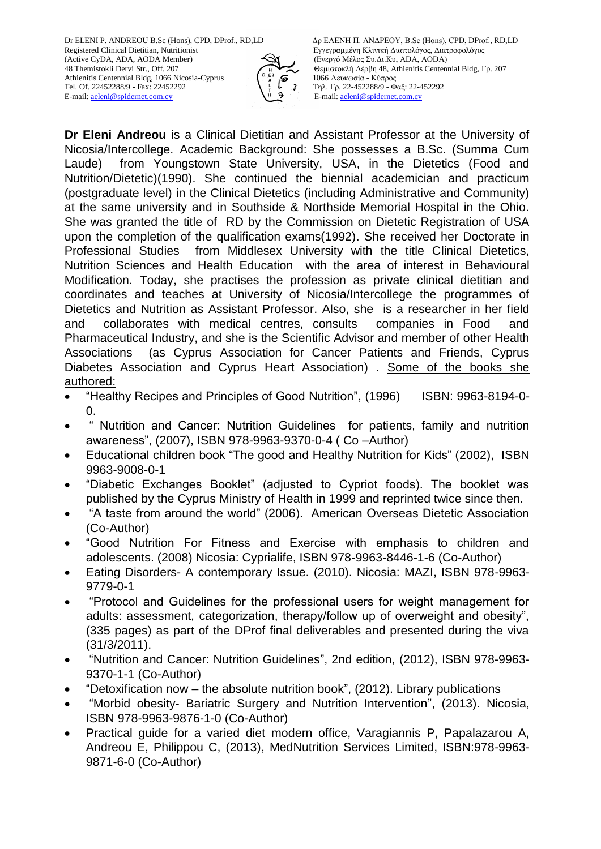Registered Clinical Dietitian, Nutritionist **Εγγεγραμμένη Κλινική Διαιτολόγος**, Διατροφολόγος (Active CyDA, ADA, AODA) (Eνεργό Μέλος Συ.Δι.Κυ, ADA, AODA) Athienitis Centennial Bldg, 1066 Nicosia-Cyprus 1066 Λευκωσία - Κύπρος Tel. Of. 22452288/9 - Fax: 22452292<br>
E-mail: aeleni@spidernet.com.cv<br>
E-mail: aeleni@spidernet.com.cv<br>
E-mail: aeleni@spidernet.com.cv E-mail: [aeleni@spidernet.com.cy](mailto:aeleni@spidernet.com.cy) Ε-mail[: aeleni@spidernet.com.cy](mailto:aeleni@spidernet.com.cy)



Dr ELENI P. ANDREOU B.Sc (Hons), CPD, DProf., RD,LD Δρ ΕΛΕΝΗ Π. ΑΝΔΡΕΟΥ, B.Sc (Hons), CPD, DProf., RD,LD (Ενεργό Μέλος Συ.Δι.Κυ, ADA, AODA) 48 Themistokli Dervi Str., Off. 207 Θεμιστοκλή Δέρβη 48, Athienitis Centennial Bldg, Γρ. 207

**Dr Eleni Andreou** is a Clinical Dietitian and Assistant Professor at the University of Nicosia/Intercollege. Academic Background: She possesses a B.Sc. (Summa Cum Laude) from Youngstown State University, USA, in the Dietetics (Food and Nutrition/Dietetic)(1990). She continued the biennial academician and practicum (postgraduate level) in the Clinical Dietetics (including Administrative and Community) at the same university and in Southside & Northside Memorial Hospital in the Ohio. She was granted the title of RD by the Commission on Dietetic Registration of USA upon the completion of the qualification exams(1992). She received her Doctorate in Professional Studies from Middlesex University with the title Clinical Dietetics, Nutrition Sciences and Health Education with the area of interest in Behavioural Modification. Today, she practises the profession as private clinical dietitian and coordinates and teaches at University of Nicosia/Intercollege the programmes of Dietetics and Nutrition as Assistant Professor. Also, she is a researcher in her field and collaborates with medical centres, consults companies in Food and Pharmaceutical Industry, and she is the Scientific Advisor and member of other Health Associations (as Cyprus Association for Cancer Patients and Friends, Cyprus Diabetes Association and Cyprus Heart Association) . Some of the books she authored:

- "Healthy Recipes and Principles of Good Nutrition", (1996) ISBN: 9963-8194-0- 0.
- " Nutrition and Cancer: Nutrition Guidelines for patients, family and nutrition awareness", (2007), ISBN 978-9963-9370-0-4 ( Co –Author)
- Educational children book "The good and Healthy Nutrition for Kids" (2002), ISBN 9963-9008-0-1
- "Diabetic Exchanges Booklet" (adjusted to Cypriot foods). The booklet was published by the Cyprus Ministry of Health in 1999 and reprinted twice since then.
- "A taste from around the world" (2006). American Overseas Dietetic Association (Co-Author)
- "Good Nutrition For Fitness and Exercise with emphasis to children and adolescents. (2008) Nicosia: Cyprialife, ISBN 978-9963-8446-1-6 (Co-Author)
- Eating Disorders- A contemporary Issue. (2010). Nicosia: MAZI, ISBN 978-9963- 9779-0-1
- "Protocol and Guidelines for the professional users for weight management for adults: assessment, categorization, therapy/follow up of overweight and obesity", (335 pages) as part of the DProf final deliverables and presented during the viva (31/3/2011).
- "Nutrition and Cancer: Nutrition Guidelines", 2nd edition, (2012), ISBN 978-9963- 9370-1-1 (Co-Author)
- "Detoxification now the absolute nutrition book", (2012). Library publications
- "Morbid obesity- Bariatric Surgery and Nutrition Intervention", (2013). Nicosia, ISBN 978-9963-9876-1-0 (Co-Author)
- Practical guide for a varied diet modern office, Varagiannis P, Papalazarou A, Andreou E, Philippou C, (2013), MedNutrition Services Limited, ISBN:978-9963- 9871-6-0 (Co-Author)